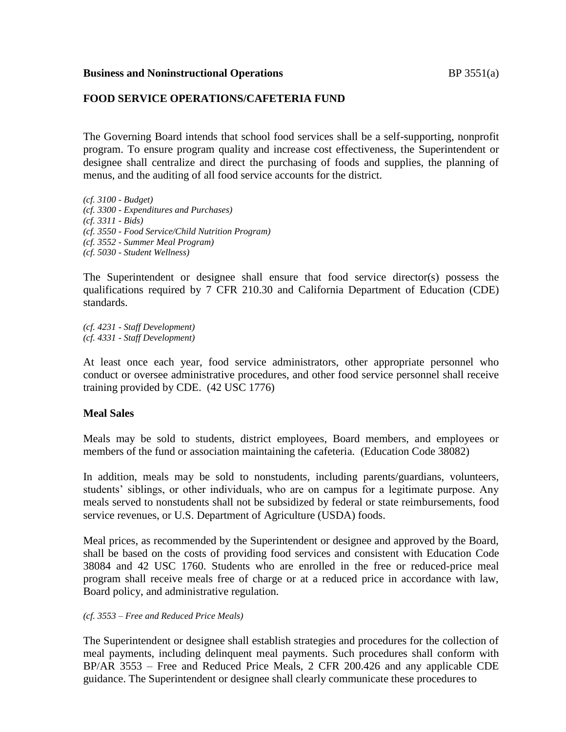#### **Business and Noninstructional Operations BP** 3551(a)

# **FOOD SERVICE OPERATIONS/CAFETERIA FUND**

The Governing Board intends that school food services shall be a self-supporting, nonprofit program. To ensure program quality and increase cost effectiveness, the Superintendent or designee shall centralize and direct the purchasing of foods and supplies, the planning of menus, and the auditing of all food service accounts for the district.

*(cf. 3100 - Budget) (cf. 3300 - Expenditures and Purchases) (cf. 3311 - Bids) (cf. 3550 - Food Service/Child Nutrition Program) (cf. 3552 - Summer Meal Program) (cf. 5030 - Student Wellness)*

The Superintendent or designee shall ensure that food service director(s) possess the qualifications required by 7 CFR 210.30 and California Department of Education (CDE) standards.

*(cf. 4231 - Staff Development) (cf. 4331 - Staff Development)*

At least once each year, food service administrators, other appropriate personnel who conduct or oversee administrative procedures, and other food service personnel shall receive training provided by CDE. (42 USC 1776)

#### **Meal Sales**

Meals may be sold to students, district employees, Board members, and employees or members of the fund or association maintaining the cafeteria. (Education Code 38082)

In addition, meals may be sold to nonstudents, including parents/guardians, volunteers, students' siblings, or other individuals, who are on campus for a legitimate purpose. Any meals served to nonstudents shall not be subsidized by federal or state reimbursements, food service revenues, or U.S. Department of Agriculture (USDA) foods.

Meal prices, as recommended by the Superintendent or designee and approved by the Board, shall be based on the costs of providing food services and consistent with Education Code 38084 and 42 USC 1760. Students who are enrolled in the free or reduced-price meal program shall receive meals free of charge or at a reduced price in accordance with law, Board policy, and administrative regulation.

#### *(cf. 3553 – Free and Reduced Price Meals)*

The Superintendent or designee shall establish strategies and procedures for the collection of meal payments, including delinquent meal payments. Such procedures shall conform with BP/AR 3553 – Free and Reduced Price Meals, 2 CFR 200.426 and any applicable CDE guidance. The Superintendent or designee shall clearly communicate these procedures to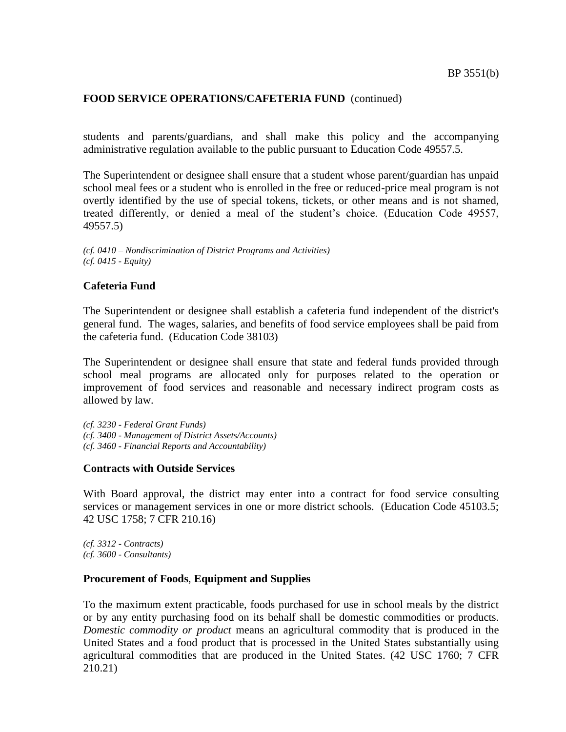students and parents/guardians, and shall make this policy and the accompanying administrative regulation available to the public pursuant to Education Code 49557.5.

The Superintendent or designee shall ensure that a student whose parent/guardian has unpaid school meal fees or a student who is enrolled in the free or reduced-price meal program is not overtly identified by the use of special tokens, tickets, or other means and is not shamed, treated differently, or denied a meal of the student's choice. (Education Code 49557, 49557.5)

*(cf. 0410 – Nondiscrimination of District Programs and Activities) (cf. 0415 - Equity)*

#### **Cafeteria Fund**

The Superintendent or designee shall establish a cafeteria fund independent of the district's general fund. The wages, salaries, and benefits of food service employees shall be paid from the cafeteria fund. (Education Code 38103)

The Superintendent or designee shall ensure that state and federal funds provided through school meal programs are allocated only for purposes related to the operation or improvement of food services and reasonable and necessary indirect program costs as allowed by law.

*(cf. 3230 - Federal Grant Funds) (cf. 3400 - Management of District Assets/Accounts) (cf. 3460 - Financial Reports and Accountability)*

#### **Contracts with Outside Services**

With Board approval, the district may enter into a contract for food service consulting services or management services in one or more district schools. (Education Code 45103.5; 42 USC 1758; 7 CFR 210.16)

*(cf. 3312 - Contracts) (cf. 3600 - Consultants)*

# **Procurement of Foods**, **Equipment and Supplies**

To the maximum extent practicable, foods purchased for use in school meals by the district or by any entity purchasing food on its behalf shall be domestic commodities or products. *Domestic commodity or product* means an agricultural commodity that is produced in the United States and a food product that is processed in the United States substantially using agricultural commodities that are produced in the United States. (42 USC 1760; 7 CFR 210.21)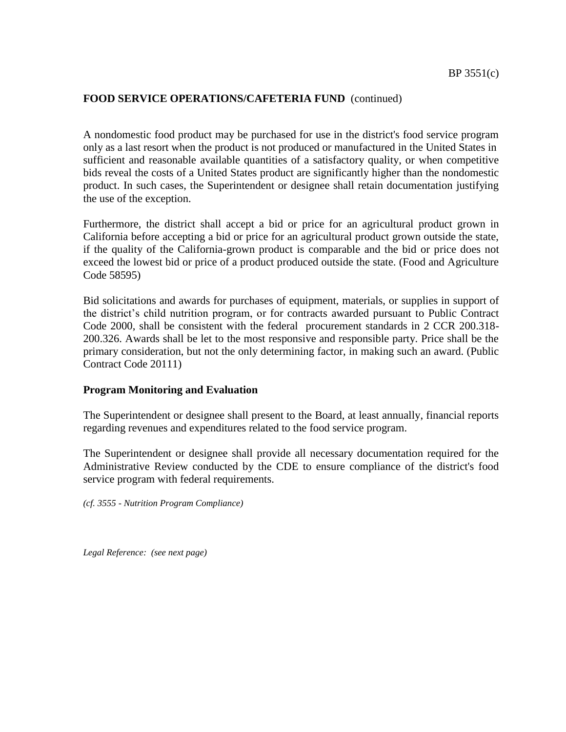A nondomestic food product may be purchased for use in the district's food service program only as a last resort when the product is not produced or manufactured in the United States in sufficient and reasonable available quantities of a satisfactory quality, or when competitive bids reveal the costs of a United States product are significantly higher than the nondomestic product. In such cases, the Superintendent or designee shall retain documentation justifying the use of the exception.

Furthermore, the district shall accept a bid or price for an agricultural product grown in California before accepting a bid or price for an agricultural product grown outside the state, if the quality of the California-grown product is comparable and the bid or price does not exceed the lowest bid or price of a product produced outside the state. (Food and Agriculture Code 58595)

Bid solicitations and awards for purchases of equipment, materials, or supplies in support of the district's child nutrition program, or for contracts awarded pursuant to Public Contract Code 2000, shall be consistent with the federal procurement standards in 2 CCR 200.318- 200.326. Awards shall be let to the most responsive and responsible party. Price shall be the primary consideration, but not the only determining factor, in making such an award. (Public Contract Code 20111)

#### **Program Monitoring and Evaluation**

The Superintendent or designee shall present to the Board, at least annually, financial reports regarding revenues and expenditures related to the food service program.

The Superintendent or designee shall provide all necessary documentation required for the Administrative Review conducted by the CDE to ensure compliance of the district's food service program with federal requirements.

*(cf. 3555 - Nutrition Program Compliance)*

*Legal Reference: (see next page)*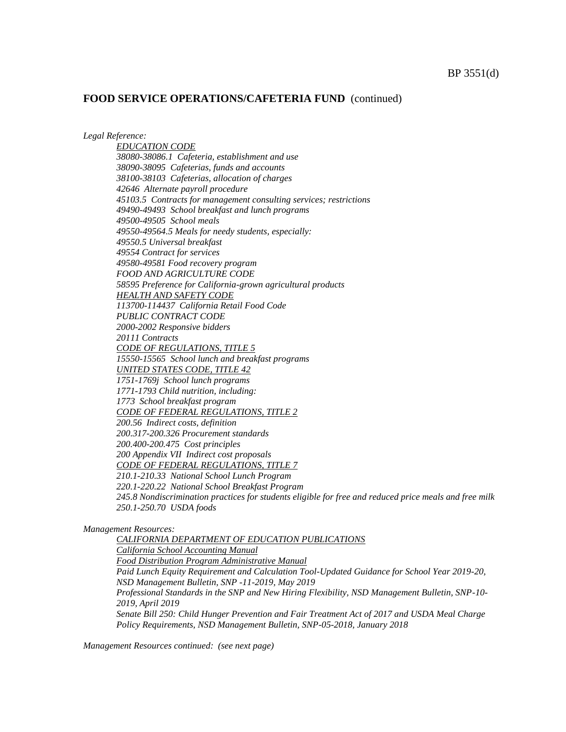*Legal Reference:*

*EDUCATION CODE 38080-38086.1 Cafeteria, establishment and use 38090-38095 Cafeterias, funds and accounts 38100-38103 Cafeterias, allocation of charges 42646 Alternate payroll procedure 45103.5 Contracts for management consulting services; restrictions 49490-49493 School breakfast and lunch programs 49500-49505 School meals 49550-49564.5 Meals for needy students, especially: 49550.5 Universal breakfast 49554 Contract for services 49580-49581 Food recovery program FOOD AND AGRICULTURE CODE 58595 Preference for California-grown agricultural products HEALTH AND SAFETY CODE 113700-114437 California Retail Food Code PUBLIC CONTRACT CODE 2000-2002 Responsive bidders 20111 Contracts CODE OF REGULATIONS, TITLE 5 15550-15565 School lunch and breakfast programs UNITED STATES CODE, TITLE 42 1751-1769j School lunch programs 1771-1793 Child nutrition, including: 1773 School breakfast program CODE OF FEDERAL REGULATIONS, TITLE 2 200.56 Indirect costs, definition 200.317-200.326 Procurement standards 200.400-200.475 Cost principles 200 Appendix VII Indirect cost proposals CODE OF FEDERAL REGULATIONS, TITLE 7 210.1-210.33 National School Lunch Program 220.1-220.22 National School Breakfast Program 245.8 Nondiscrimination practices for students eligible for free and reduced price meals and free milk 250.1-250.70 USDA foods*

*Management Resources:*

*CALIFORNIA DEPARTMENT OF EDUCATION PUBLICATIONS California School Accounting Manual Food Distribution Program Administrative Manual Paid Lunch Equity Requirement and Calculation Tool-Updated Guidance for School Year 2019-20, NSD Management Bulletin, SNP -11-2019, May 2019 Professional Standards in the SNP and New Hiring Flexibility, NSD Management Bulletin, SNP-10- 2019, April 2019 Senate Bill 250: Child Hunger Prevention and Fair Treatment Act of 2017 and USDA Meal Charge Policy Requirements, NSD Management Bulletin, SNP-05-2018, January 2018*

*Management Resources continued: (see next page)*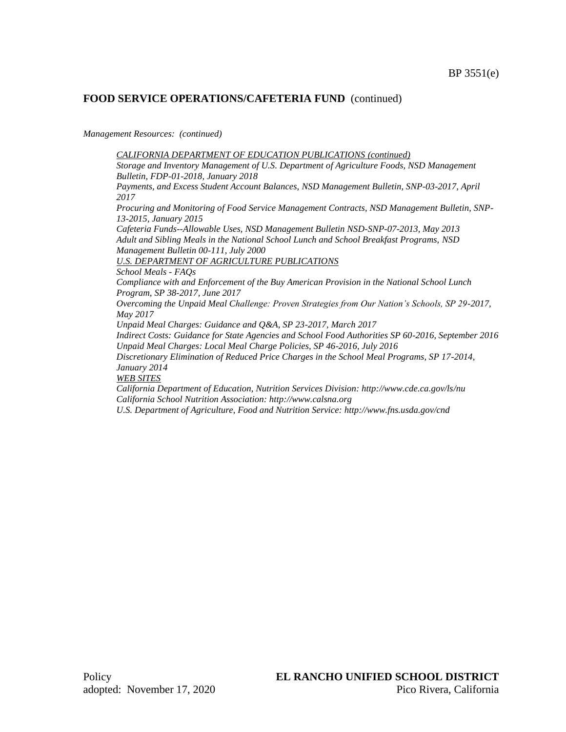*Management Resources: (continued)*

*CALIFORNIA DEPARTMENT OF EDUCATION PUBLICATIONS (continued) Storage and Inventory Management of U.S. Department of Agriculture Foods, NSD Management Bulletin, FDP-01-2018, January 2018 Payments, and Excess Student Account Balances, NSD Management Bulletin, SNP-03-2017, April 2017 Procuring and Monitoring of Food Service Management Contracts, NSD Management Bulletin, SNP-13-2015, January 2015 Cafeteria Funds--Allowable Uses, NSD Management Bulletin NSD-SNP-07-2013, May 2013 Adult and Sibling Meals in the National School Lunch and School Breakfast Programs, NSD Management Bulletin 00-111, July 2000 U.S. DEPARTMENT OF AGRICULTURE PUBLICATIONS School Meals - FAQs Compliance with and Enforcement of the Buy American Provision in the National School Lunch Program, SP 38-2017, June 2017 Overcoming the Unpaid Meal Challenge: Proven Strategies from Our Nation's Schools, SP 29-2017, May 2017 Unpaid Meal Charges: Guidance and Q&A, SP 23-2017, March 2017 Indirect Costs: Guidance for State Agencies and School Food Authorities SP 60-2016, September 2016 Unpaid Meal Charges: Local Meal Charge Policies, SP 46-2016, July 2016 Discretionary Elimination of Reduced Price Charges in the School Meal Programs, SP 17-2014, January 2014 WEB SITES California Department of Education, Nutrition Services Division: http://www.cde.ca.gov/ls/nu California School Nutrition Association: http://www.calsna.org U.S. Department of Agriculture, Food and Nutrition Service: http://www.fns.usda.gov/cnd*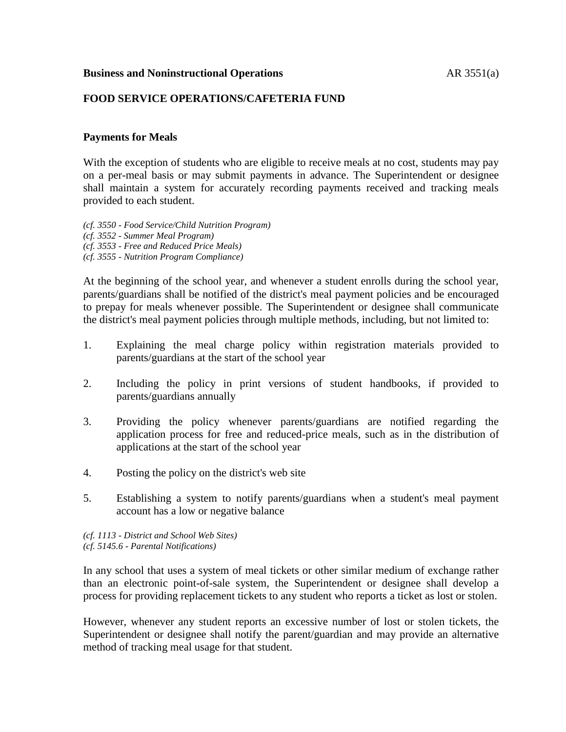### **Business and Noninstructional Operations AR 3551(a)**

# **FOOD SERVICE OPERATIONS/CAFETERIA FUND**

# **Payments for Meals**

With the exception of students who are eligible to receive meals at no cost, students may pay on a per-meal basis or may submit payments in advance. The Superintendent or designee shall maintain a system for accurately recording payments received and tracking meals provided to each student.

- *(cf. 3550 - Food Service/Child Nutrition Program)*
- *(cf. 3552 - Summer Meal Program)*
- *(cf. 3553 - Free and Reduced Price Meals)*
- *(cf. 3555 - Nutrition Program Compliance)*

At the beginning of the school year, and whenever a student enrolls during the school year, parents/guardians shall be notified of the district's meal payment policies and be encouraged to prepay for meals whenever possible. The Superintendent or designee shall communicate the district's meal payment policies through multiple methods, including, but not limited to:

- 1. Explaining the meal charge policy within registration materials provided to parents/guardians at the start of the school year
- 2. Including the policy in print versions of student handbooks, if provided to parents/guardians annually
- 3. Providing the policy whenever parents/guardians are notified regarding the application process for free and reduced-price meals, such as in the distribution of applications at the start of the school year
- 4. Posting the policy on the district's web site
- 5. Establishing a system to notify parents/guardians when a student's meal payment account has a low or negative balance

*(cf. 1113 - District and School Web Sites) (cf. 5145.6 - Parental Notifications)*

In any school that uses a system of meal tickets or other similar medium of exchange rather than an electronic point-of-sale system, the Superintendent or designee shall develop a process for providing replacement tickets to any student who reports a ticket as lost or stolen.

However, whenever any student reports an excessive number of lost or stolen tickets, the Superintendent or designee shall notify the parent/guardian and may provide an alternative method of tracking meal usage for that student.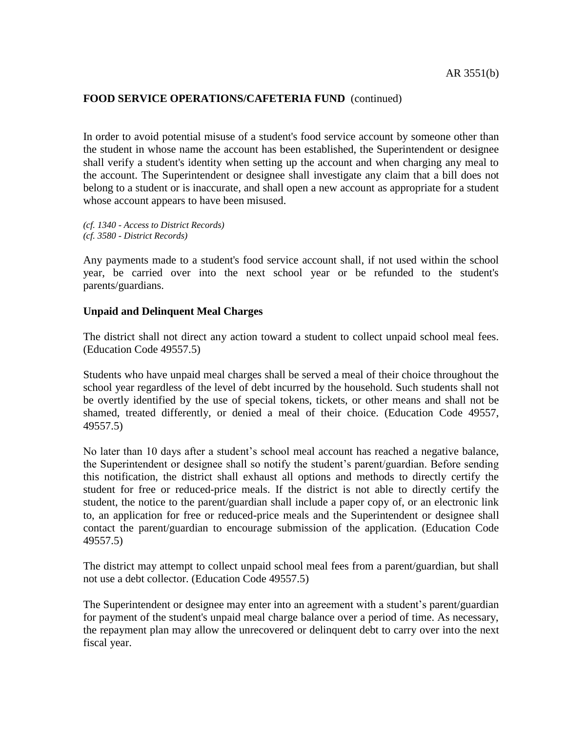In order to avoid potential misuse of a student's food service account by someone other than the student in whose name the account has been established, the Superintendent or designee shall verify a student's identity when setting up the account and when charging any meal to the account. The Superintendent or designee shall investigate any claim that a bill does not belong to a student or is inaccurate, and shall open a new account as appropriate for a student whose account appears to have been misused.

*(cf. 1340 - Access to District Records) (cf. 3580 - District Records)*

Any payments made to a student's food service account shall, if not used within the school year, be carried over into the next school year or be refunded to the student's parents/guardians.

# **Unpaid and Delinquent Meal Charges**

The district shall not direct any action toward a student to collect unpaid school meal fees. (Education Code 49557.5)

Students who have unpaid meal charges shall be served a meal of their choice throughout the school year regardless of the level of debt incurred by the household. Such students shall not be overtly identified by the use of special tokens, tickets, or other means and shall not be shamed, treated differently, or denied a meal of their choice. (Education Code 49557, 49557.5)

No later than 10 days after a student's school meal account has reached a negative balance, the Superintendent or designee shall so notify the student's parent/guardian. Before sending this notification, the district shall exhaust all options and methods to directly certify the student for free or reduced-price meals. If the district is not able to directly certify the student, the notice to the parent/guardian shall include a paper copy of, or an electronic link to, an application for free or reduced-price meals and the Superintendent or designee shall contact the parent/guardian to encourage submission of the application. (Education Code 49557.5)

The district may attempt to collect unpaid school meal fees from a parent/guardian, but shall not use a debt collector. (Education Code 49557.5)

The Superintendent or designee may enter into an agreement with a student's parent/guardian for payment of the student's unpaid meal charge balance over a period of time. As necessary, the repayment plan may allow the unrecovered or delinquent debt to carry over into the next fiscal year.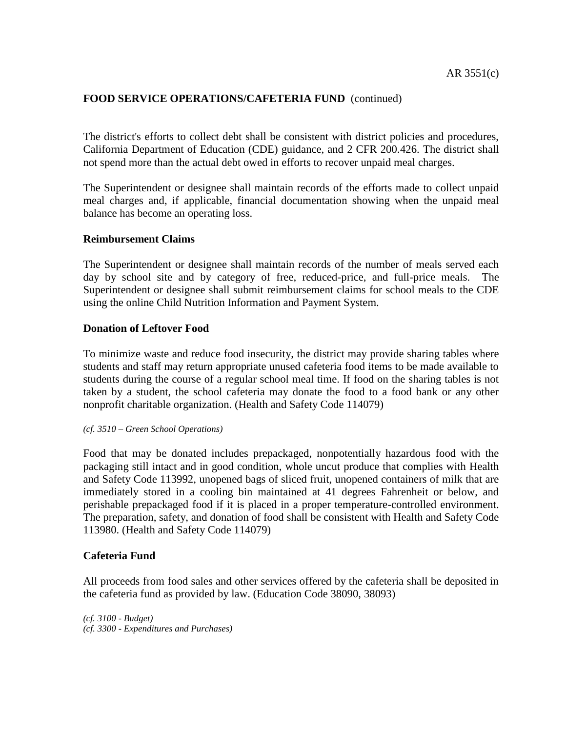The district's efforts to collect debt shall be consistent with district policies and procedures, California Department of Education (CDE) guidance, and 2 CFR 200.426. The district shall not spend more than the actual debt owed in efforts to recover unpaid meal charges.

The Superintendent or designee shall maintain records of the efforts made to collect unpaid meal charges and, if applicable, financial documentation showing when the unpaid meal balance has become an operating loss.

#### **Reimbursement Claims**

The Superintendent or designee shall maintain records of the number of meals served each day by school site and by category of free, reduced-price, and full-price meals. The Superintendent or designee shall submit reimbursement claims for school meals to the CDE using the online Child Nutrition Information and Payment System.

# **Donation of Leftover Food**

To minimize waste and reduce food insecurity, the district may provide sharing tables where students and staff may return appropriate unused cafeteria food items to be made available to students during the course of a regular school meal time. If food on the sharing tables is not taken by a student, the school cafeteria may donate the food to a food bank or any other nonprofit charitable organization. (Health and Safety Code 114079)

#### *(cf. 3510 – Green School Operations)*

Food that may be donated includes prepackaged, nonpotentially hazardous food with the packaging still intact and in good condition, whole uncut produce that complies with Health and Safety Code 113992, unopened bags of sliced fruit, unopened containers of milk that are immediately stored in a cooling bin maintained at 41 degrees Fahrenheit or below, and perishable prepackaged food if it is placed in a proper temperature-controlled environment. The preparation, safety, and donation of food shall be consistent with Health and Safety Code 113980. (Health and Safety Code 114079)

#### **Cafeteria Fund**

All proceeds from food sales and other services offered by the cafeteria shall be deposited in the cafeteria fund as provided by law. (Education Code 38090, 38093)

*(cf. 3100 - Budget) (cf. 3300 - Expenditures and Purchases)*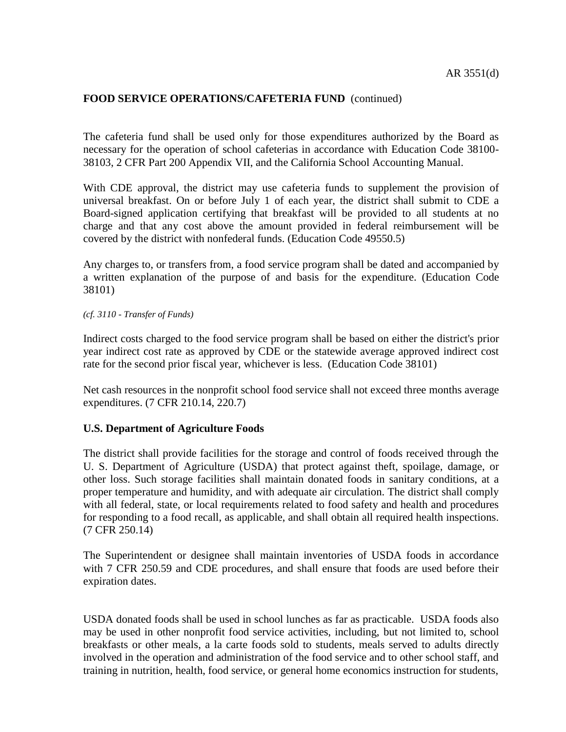The cafeteria fund shall be used only for those expenditures authorized by the Board as necessary for the operation of school cafeterias in accordance with Education Code 38100- 38103, 2 CFR Part 200 Appendix VII, and the California School Accounting Manual.

With CDE approval, the district may use cafeteria funds to supplement the provision of universal breakfast. On or before July 1 of each year, the district shall submit to CDE a Board-signed application certifying that breakfast will be provided to all students at no charge and that any cost above the amount provided in federal reimbursement will be covered by the district with nonfederal funds. (Education Code 49550.5)

Any charges to, or transfers from, a food service program shall be dated and accompanied by a written explanation of the purpose of and basis for the expenditure. (Education Code 38101)

*(cf. 3110 - Transfer of Funds)*

Indirect costs charged to the food service program shall be based on either the district's prior year indirect cost rate as approved by CDE or the statewide average approved indirect cost rate for the second prior fiscal year, whichever is less. (Education Code 38101)

Net cash resources in the nonprofit school food service shall not exceed three months average expenditures. (7 CFR 210.14, 220.7)

#### **U.S. Department of Agriculture Foods**

The district shall provide facilities for the storage and control of foods received through the U. S. Department of Agriculture (USDA) that protect against theft, spoilage, damage, or other loss. Such storage facilities shall maintain donated foods in sanitary conditions, at a proper temperature and humidity, and with adequate air circulation. The district shall comply with all federal, state, or local requirements related to food safety and health and procedures for responding to a food recall, as applicable, and shall obtain all required health inspections. (7 CFR 250.14)

The Superintendent or designee shall maintain inventories of USDA foods in accordance with 7 CFR 250.59 and CDE procedures, and shall ensure that foods are used before their expiration dates.

USDA donated foods shall be used in school lunches as far as practicable. USDA foods also may be used in other nonprofit food service activities, including, but not limited to, school breakfasts or other meals, a la carte foods sold to students, meals served to adults directly involved in the operation and administration of the food service and to other school staff, and training in nutrition, health, food service, or general home economics instruction for students,